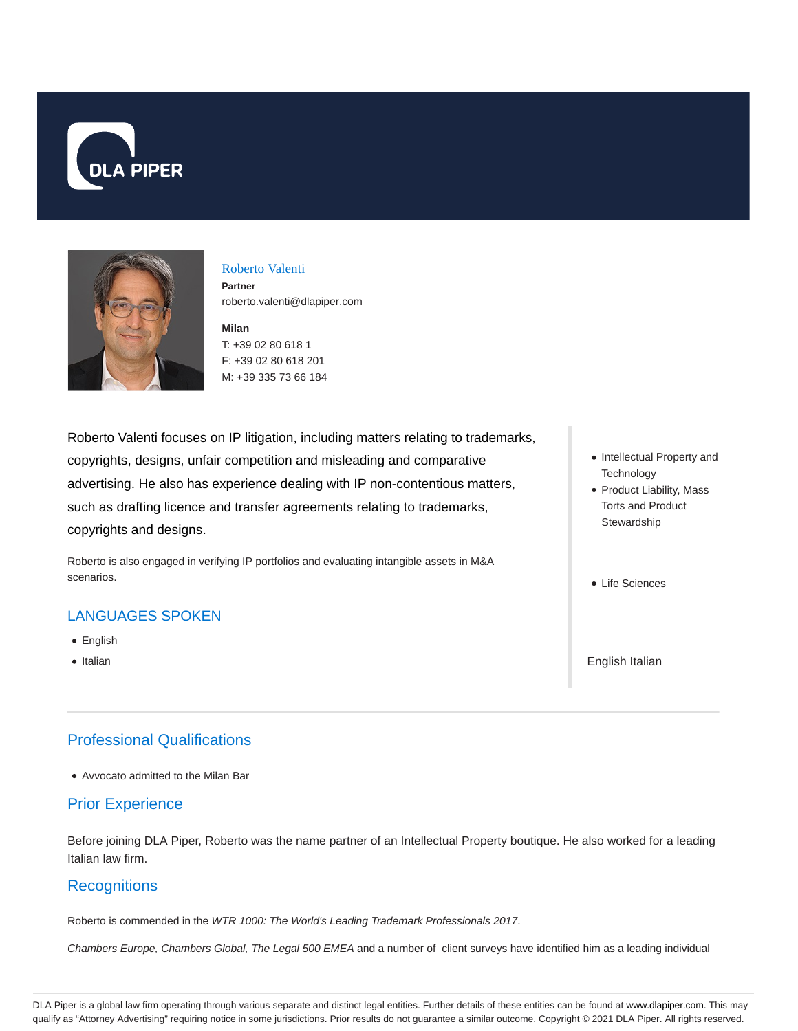



## Roberto Valenti

**Partner** roberto.valenti@dlapiper.com

#### **Milan** T: +39 02 80 618 1 F: +39 02 80 618 201 M: +39 335 73 66 184

Roberto Valenti focuses on IP litigation, including matters relating to trademarks, copyrights, designs, unfair competition and misleading and comparative advertising. He also has experience dealing with IP non-contentious matters, such as drafting licence and transfer agreements relating to trademarks, copyrights and designs.

Roberto is also engaged in verifying IP portfolios and evaluating intangible assets in M&A scenarios.

## LANGUAGES SPOKEN

- English
- Italian

# Professional Qualifications

Avvocato admitted to the Milan Bar

## Prior Experience

Before joining DLA Piper, Roberto was the name partner of an Intellectual Property boutique. He also worked for a leading Italian law firm.

## **Recognitions**

Roberto is commended in the WTR 1000: The World's Leading Trademark Professionals 2017.

Chambers Europe, Chambers Global, The Legal 500 EMEA and a number of client surveys have identified him as a leading individual

- Intellectual Property and **Technology**
- Product Liability, Mass Torts and Product **Stewardship**
- Life Sciences

English Italian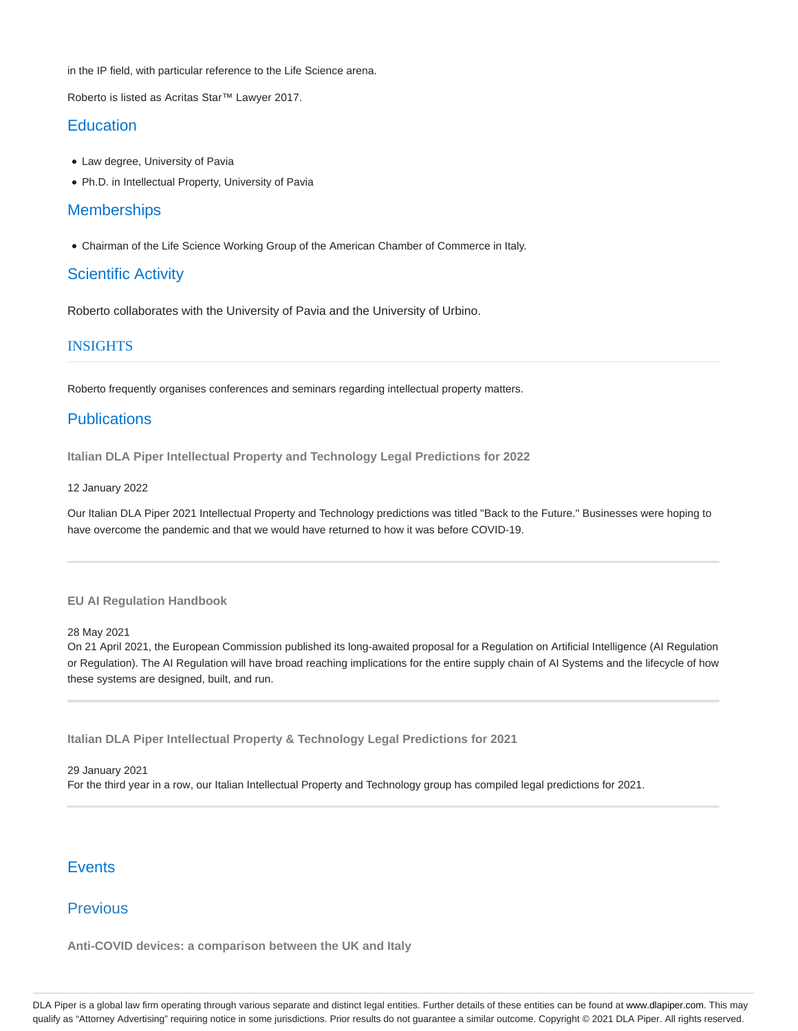in the IP field, with particular reference to the Life Science arena.

Roberto is listed as Acritas Star™ Lawyer 2017.

## **Education**

- Law degree, University of Pavia
- Ph.D. in Intellectual Property, University of Pavia

## **Memberships**

Chairman of the Life Science Working Group of the American Chamber of Commerce in Italy.

## Scientific Activity

Roberto collaborates with the University of Pavia and the University of Urbino.

## INSIGHTS

Roberto frequently organises conferences and seminars regarding intellectual property matters.

## **Publications**

**Italian DLA Piper Intellectual Property and Technology Legal Predictions for 2022**

#### 12 January 2022

Our Italian DLA Piper 2021 Intellectual Property and Technology predictions was titled "Back to the Future." Businesses were hoping to have overcome the pandemic and that we would have returned to how it was before COVID-19.

#### **EU AI Regulation Handbook**

28 May 2021

On 21 April 2021, the European Commission published its long-awaited proposal for a Regulation on Artificial Intelligence (AI Regulation or Regulation). The AI Regulation will have broad reaching implications for the entire supply chain of AI Systems and the lifecycle of how these systems are designed, built, and run.

**Italian DLA Piper Intellectual Property & Technology Legal Predictions for 2021**

29 January 2021 For the third year in a row, our Italian Intellectual Property and Technology group has compiled legal predictions for 2021.

## **Events**

## Previous

**Anti-COVID devices: a comparison between the UK and Italy**

DLA Piper is a global law firm operating through various separate and distinct legal entities. Further details of these entities can be found at www.dlapiper.com. This may qualify as "Attorney Advertising" requiring notice in some jurisdictions. Prior results do not guarantee a similar outcome. Copyright © 2021 DLA Piper. All rights reserved.